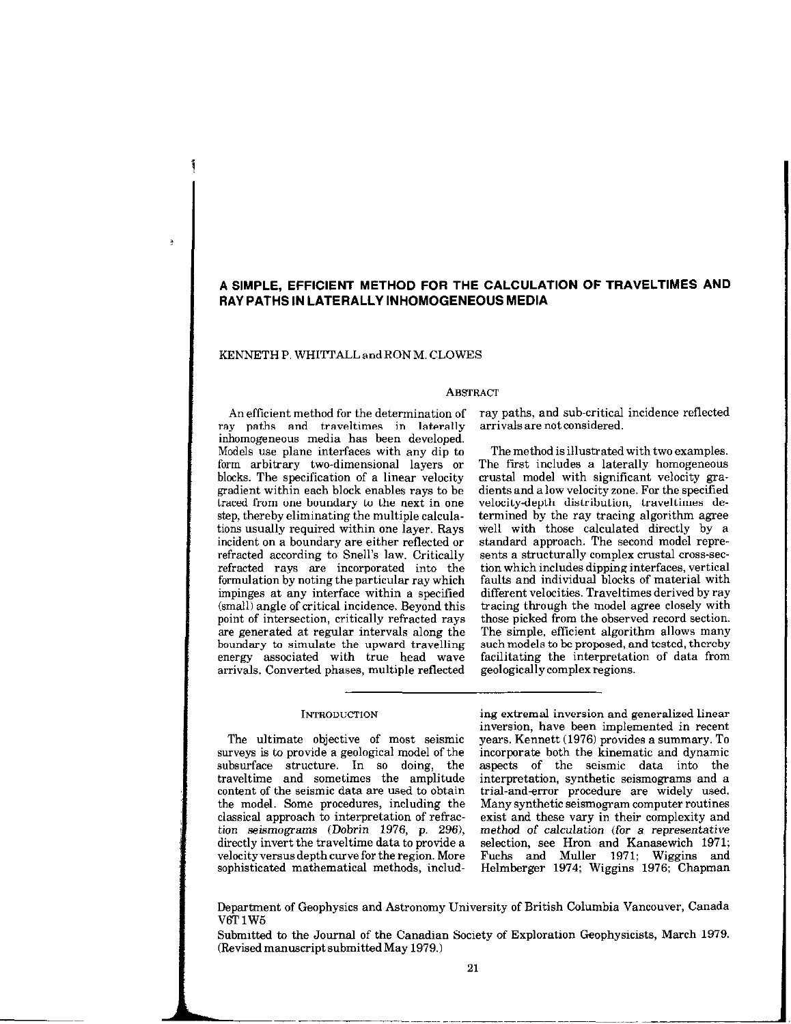# A SIMPLE, EFFICIENT METHOD FOR THE CALCULATION OF TRAVELTIMES AND RAY PATHS IN LATERALLY INHOMOGENEOUS MEDIA

### KENNETH P. WHITTALL and RON M. CLOWES

 $\overline{.}$ 

#### **ABSTRACT**

An efficient method for the determination of ray paths, and sub-critical incidence reflected ray paths and traveltimes in laterally arrivalsare not considered. inhomogeneous media has been developed. Models use plane interfaces with any dip to The method is illustrated with two examples. form arbitrary two-dimensional layers or blocks. The specification of a linear velocity crustal model with significant velocity gra-<br>gradient within each block enables rays to be dients and a low velocity zone. For the specified gradient within each block enables rays to be traced from one boundary to the next in one velocity-depth distribution, traveltimes de-<br>step, thereby eliminating the multiple calcula- termined by the ray tracing algorithm agree tions usually required within one layer. Rays well with those calculated directly by a incident on a boundary are either reflected or standard approach. The second model repre-<br>refracted according to Snell's law. Critically sents a structurally complex crustal cross-secrefracted according to Snell's law. Critically sents a structurally complex crustal cross-secretization are incorporated into the tion which includes dipping interfaces, vertical refracted rays are incorporated into the formulation by noting the particular ray which impinges at any interface within a specified different velocities. Traveltimes derived by ray<br>(small) angle of critical incidence. Beyond this tracing through the model agree closely with (small) angle of critical incidence. Beyond this point of intersection, critically refracted rays point of intersection, critically refracted rays those picked from the observed record section.<br>are generated at regular intervals along the The simple, efficient algorithm allows many boundary to simulate the upward travelling such models to be proposed, and tested, thereby<br>energy associated with true head wave facilitating the interpretation of data from energy associated with true head wave facilitating the interpretation arrivals. Converted phases, multiple reflected geologically complex regions. arrivals. Converted phases, multiple reflected

surveys is to provide a geological model of the incorporate both the kinematic and dynamic<br>subsurface structure. In so doing, the aspects of the seismic data into the subsurface structure. In so doing, the aspects of the seismic data into the content of the seismic data are used to obtain trial-and-error procedure are widely used.<br>the model. Some procedures, including the Many synthetic seismogram computer routines the model. Some procedures, including the Many synthetic seismogram computer routines classical approach to interpretation of refrac-exist and these vary in their complexity and tion seismograms (Dobrin 1976, p. 296), directly invert the travel time data to provide a directly invert the traveltime data to provide a selection, see Hron and Kanasewich 1971; velocity versus depth curve for the region. More Fuchs and Muller 1971; Wiggins and

INTRODUCTION ing extremal inversion and generaltied linear inversion, have been implemented in recent The ultimate objective of most seismic years. Kennett (1976) provides a summary. To irveys is to provide a geological model of the incorporate both the kinematic and dynamic traveltime and sometimes the amplitude interpretation, synthetic seismograms and a exist and these vary in their complexity and method of calculation (for a representative

termined by the ray tracing algorithm agree

faults and individual blocks of material with

The simple, efficient algorithm allows many<br>such models to be proposed, and tested, thereby

velocity versus depth curve for the region. More Fuchs and Muller 1971; Wiggins and Helmberger 1974; Wiggins 1976; Chapman

Department of Geophysics and Astronomy University of British Columbia Vancouver, Canada V6T<sub>1</sub>W<sub>5</sub>

Submitted to the Journal of the Canadian Society of Exploration Geophysicists, March 1979. (Revised manuscript submitted May 1979.)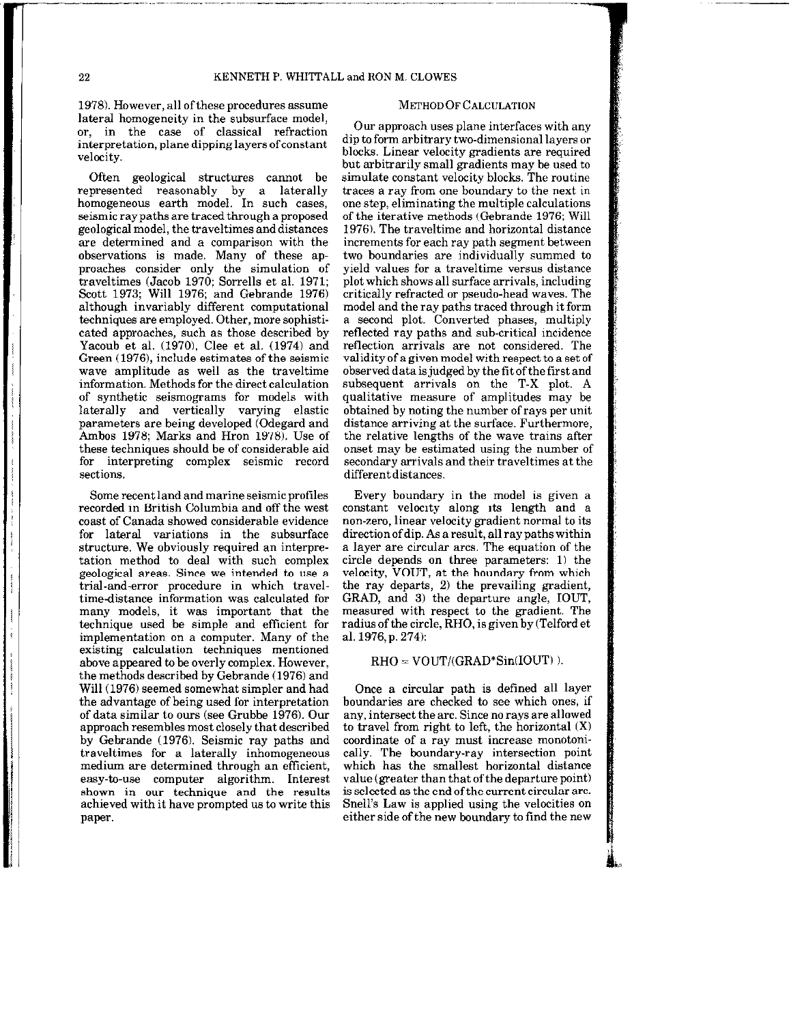## 22 KENNETH P. WHITTALL and RON M. CLOWES

1978). However, all ofthese procedures assume lateral homogeneity in the subsurface model, or, in the case of classical refraction interpretation, plane dipping layers of constant velocity.

Often geological structures cannot be represented reasonably by a laterally homogeneous earth model. In such cases, seismic ray paths are traced through a proposed geological model, the traveltimes and distances are determined and a comparison with the observations is made. Many of these approaches consider only the simulation of traveltimes (Jacob 1970: Sorrells et al. 1971; Scott 1973; Will 1976; and Gebrande 1976) although invariably different computational techniques are employed. Other, more sophisticated approaches, such as those described by Yacoub et al. (1970), Clee et al. (1974) and Green (1976), include estimates of the seismic wave amplitude as well as the traveltime information. Methods for the direct calculation of synthetic seismograms for models with laterally and vertically varying elastic parameters are being developed (Odegard and Ambos 1978; Marks and Hron 1978). Use of these techniques should be of considerable aid for interpreting complex seismic record sections.

Some recent land and marine seismic profiles recorded in British Columbia and off the west coast of Canada showed considerable evidence for lateral variations in the subsurface structure. We obviously required an interpretation method to deal with such complex geological areas. Since we intended to use a trial-and-error procedure in which traveltime-distance information was calculated for many models, it was important that the technique used he simple and efficient for implementation on a computer. Many of the existing calculation techniques mentioned above appeared to be overly complex. However, the methods described by Gebrande (1976) and Will (1976) seemed somewhat simpler and had the advantage of being used for interpretation of data similar to ours (see Grubbe 1976). Our approach resembles most closely that described by Gebrande (1976). Seismic ray paths and traveltimes for a laterally inhomogeneous medium are determined through an efficient, easy-to-use computer algorithm. Interest shown in our technique and the results achieved with it have prompted us to write this paper.

### METHOD OF CALCULATION

Our approach uses plane interfaces with any dip to form arbitrary two-dimensional layers or blocks. Linear velocity gradients are required but arbitrarily small gradients may be used to simulate constant velocity blocks. The routine traces a ray from one boundary to the next in one step, eliminating the multiple calculations of the iterative methods (Gebrande 1976; Will 1976). The traveltime and horizontal distance increments for each ray path segment between two boundaries are individually summed to yield values for a traveltime versus distance plot which shows all surface arrivals, including critically refracted or pseudo-head waves. The model and the ray paths traced through it form a second plot. Converted phases, multiply reflected ray paths and sub-critical incidence reflection arrivals are not considered. The validity of a given model with respect to a set of observed data is judged by the fit of the first and subsequent arrivals on the T-X plot. A qualitative measure of amplitudes may be obtained by noting the number of rays per unit distance arriving at the surface. Furthermore, the relative lengths of the wave trains after onset may be estimated using the number of secondary arrivals and their traveltimes at the differentdistances.

Every boundary in the model is given a constant velocity along its length and a non-zero, linear velocity gradient normal to its direction of dip. As a result, all ray paths within a layer are circular arcs. The equation of the circle depends on three parameters: 1) the velocity, VOUT, at the boundary from which the ray departs, 2) the prevailing gradient, GRAD, and 3) the departure angle, IOUT, measured with respect to the gradient. The radius of the circle, RHO, is given by (Telford et al. 1976, p. 274):

## $RHO = VOUT/(GRAD*Sin(IOUT))$ .

Once a circular path is defined all layer boundaries are checked to see which ones, if any, intersect the arc. Since no rays are allowed to travel from right to left, the horizontal  $(X)$ coordinate of a ray must increase monotonically. The boundary-ray intersection point which has the smallest horizontal distance value (greater than that of the departure point) is selected as the end of the current circular arc. Snell's Law is applied using the velocities on either side of the new boundary to find the new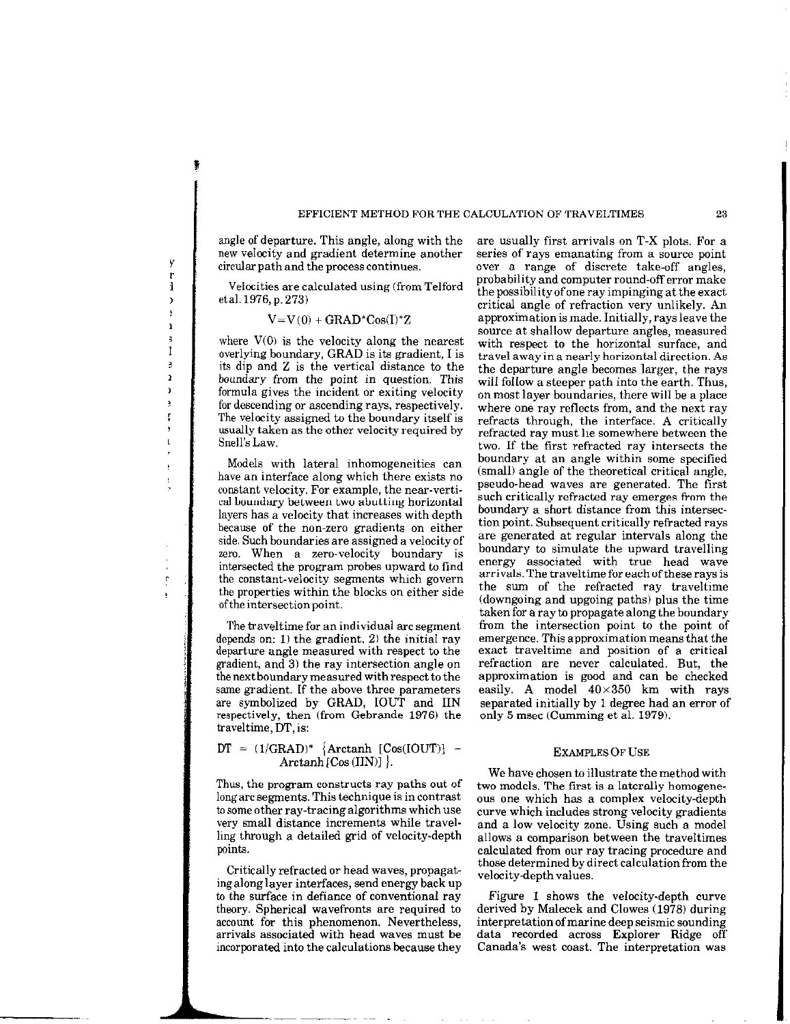#### EFFICIENT METHOD FOR THE CALCULATION OF TRAVELTIMES 23

angle of departure. This angle, along with the new velocity and gradient determine another circular path and the process continues.

y r  $\mathbf{1}$  $\overline{ }$ ŗ  $\mathbf i$  $\ddot{\mathbf{z}}$ I ě  $\mathbf{r}$  $\mathbf{r}$ ÿ Ţ  $\mathbf{I}$ 

 $\mathbf{r}$ 

Velocities are calculated using (from Telford eta1.1976, p. 273)

## $V=V(0) + GRAD^*Cos(I)^*Z$

where  $V(0)$  is the velocity along the nearest overlying boundary, GRAD is its gradient, I is its dip and Z is the vertical distance to the boundary from the point in question. This formula gives the incident or exiting velocity for descending or ascending rays, respectively. The velocity assigned to the boundary itself is usually taken as the other velocity required by Snell's Law.

Models with lateral inhomogeneities can have an interface along which there exists no constant velocity. For example, the near-vertical boundary between two abutting horizontal layers has a velocity that increases with depth because of the non-zero gradients on either side. Such boundaries are assigned a velocity of zero. When a zero-velocity boundary is intersected the program probes upward to find the constant-velocity segments which govern the properties within the blocks on either side of the intersection point.

The traveltime for an individual arc segment depends on: 1) the gradient, 2) the initial ray departure angle measured with respect to the gradient, and 3) the ray intersection angle on the next boundary measured with respect to the same gradient. If the above three parameters are symbolized by GRAD, IOUT and IIN respectively, then (from Gebrande 1976) the traveltime, DT, is:

## $DT = (1/GRAD)^*$  {Arctanh  $[Cos(IOUT)]$  - $Arctanh[Cos(IIN)]$ .

Thus, the program constructs ray paths out of longarc segments. This technique is incontrast to some other ray-tracing algorithms which use very small distance increments while travelling through a detailed grid of velocity-depth points.

Critically refracted or head waves, propagatingalonglayer interfaces, send energy back up to the surface in defiance of conventional ray theory. Spherical wavefronts are required to account for this phenomenon. Nevertheless, arrivals associated with head waves must be incorporated into the calculations because they are usually first arrivals on T-X plots. For a series of rays emanating from a source point over a range of discrete take-off angles, probability and computer round-off error make the possibility of one ray impinging at the exact critical angle of refraction very unlikely. An approximation is made. Initially, rays leave the source at shallow departure angles, measured with respect to the horizontal surface, and travel away in a nearly horizontal direction, As the departure angle becomes larger, the rays will follow a steeper path into the earth. Thus, on most layer boundaries, there will be a place where one ray reflects from, and the next ray refracts through, the interface. A critically refracted ray must lie somewhere between the two. If the first refracted ray intersects the boundary at an angle within some specified (small) angle of the theoretical critical angle, pseudo-head waves are generated. The first such critically refracted ray emerges from the boundary a short distance from this intersection point. Subsequent critically refracted rays are generated at regular intervals along the boundary to simulate the upward travelling energy associated with true head wave arrivals. The traveltime for each of these rays is the sum of the refracted ray traveltime (downgoing and upgoing paths) plus the time taken for a ray to propagate along the boundary from the intersection point to the point of emergence. This approximation means that the exact traveltime and position of a critical refraction are never calculated. But, the approximation is good and can be checked easily. A model  $40\times350$  km with rays separated initially by 1 degree had an error of only 5 msec (Gumming et al. 1979).

#### EXAMPLES OF USE

We have chosen to illustrate the method with two models. The first is a laterally homogeneous one which has a complex velocity-depth curve which includes strong velocity gradients and a low velocity zone. Using such a model allows a comparison between the traveltimes calculated from our ray tracing procedure and those determined by direct calculation from the velocitydepthvalues.

Figure 1 shows the velocity.depth curve derived by Malecek and Clowes (1978) during interpretation of marine deep seismic sounding data recorded across Explorer Ridge off Canada's west coast. The interpretation was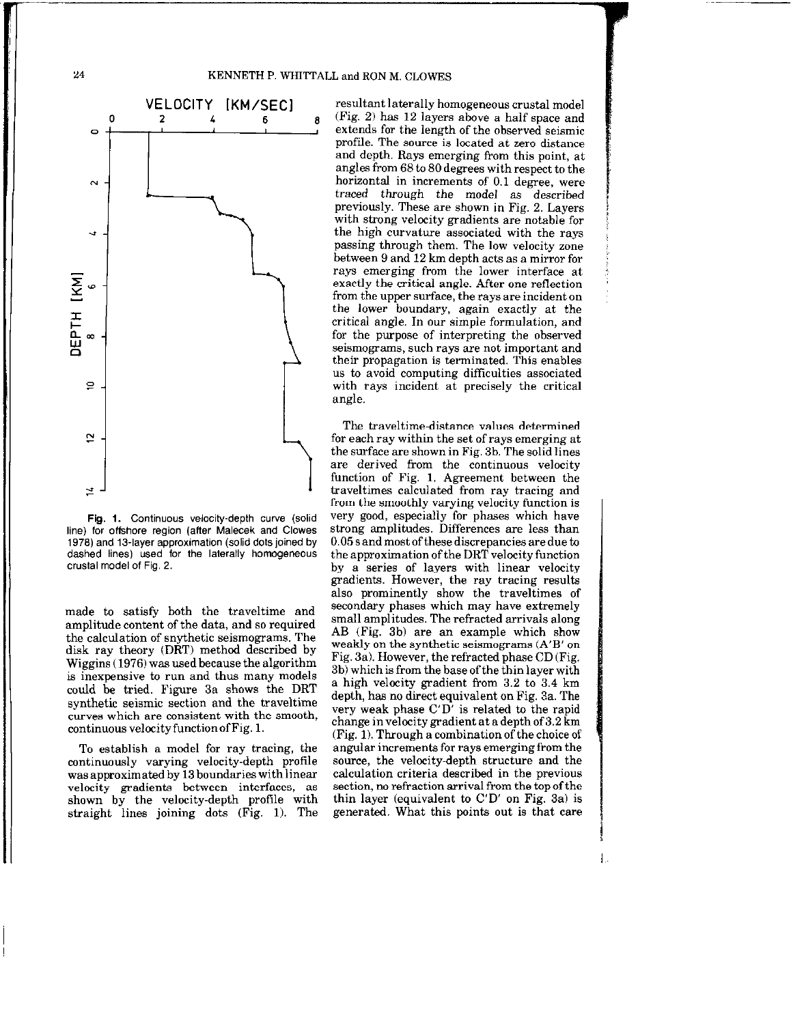## KENNETH P. WHITTALL and RON M. CLOWES



Fig. 1. Continuous velocity-depth curve (solid line) for offshore region (after Malecek and Clowes 1978) and 13.layer approximation (solid dots joined by dashed lines) used for the laterally homogeneous crustal model of Fig. 2.

made to satisfy both the traveltime and amplitude content of the data, and so required the calculation of snythetic seismograms. The disk ray theory (DRT) method described by Wiggins (1976) was used because the algorithm is inexpensive to run and thus many models could be tried. Figure 3a shows the DRT synthetic seismic section and the traveltime curves which are consistent with the smooth,  $\text{continuous velocity function of Fig. 1.}$ 

To establish a model for ray tracing, the continuously varying velocity-depth profile was approximated by 13 boundaries with linear velocity gradients between interfaces, as shown by the velocity-depth profile with straight lines joining dots (Fig. 1). The

VELOCITY [KM/SEC] resultant laterally homogeneous crustal model (Fig. 2) has 12 layers above a half space and extends for the length of the observed seismic profile. The source is located at zero distance and depth. Rays emerging from this point, at angles from 68 to 80 degrees with respect to the horizontal in increments of 0.1 degree, were traced through the model as described previously. These are shown in Fig. 2. Layers with strong velocity gradients are notable for the high curvature associated with the rays passing through them. The low velocity zone between 9 and 12 km depth acts as a mirror for rays emerging from the lower interface at exactly the critical angle. After one reflection from the upper surface, the rays are incident on the lower boundary, again exactly at the critical angle. In our simple formulation, and for the purpose of interpreting the observed seismograms, such rays are not important and their propagation is terminated. This enables us to avoid computing difficulties associated with rays incident at precisely the critical angle.

> The traveltime-distance values determined for each ray within the set of rays emerging at the surface are shown in Fig. 3b. The solid lines are derived from the continuous velocity function of Fig. 1. Agreement between the traveltimes calculated from ray tracing and from the smoothly varying velocity function is very good, especially for phases which have strong amplitudes. Differences are less than 0.05 s and most of these discrepancies are due to the approximation of the DRT velocity function by a series of layers with linear velocity gradients. However, the ray tracing results also prominently show the traveltimes of secondary phases which may have extremely small amplitudes. The refracted arrivals along AB (Fig. 3b) are an example which show weakly on the synthetic seismograms (A'B' on Fig. 3a). However, the refracted phase CD (Fig. 3b) which is from the base of the thin layer with a high velocity gradient from 3.2 to 3.4 km depth, has no direct equivalent on Fig. 3a. The very weak phase C'D' is related to the rapid change invelocity gradient at a depth of 3.2 km (Fig. 1). Through a combination of the choice of angular increments for rays emerging from the source, the velocity-depth structure and the calculation criteria described in the previous section, no refraction arrival from the topofthe thin layer (equivalent to  $C'D'$  on Fig. 3a) is generated. What this points out is that care

24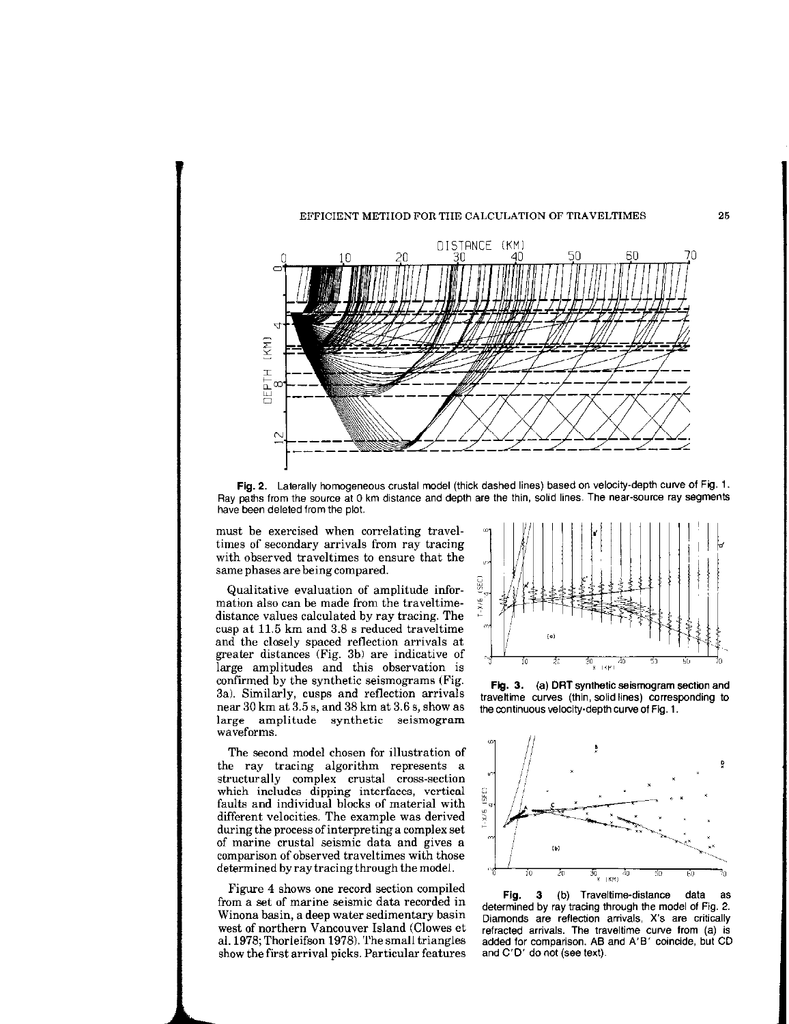

Fig. 2. Laterally homogeneous crustal model (thick dashed lines) based on velocity-depth curve of Fig. 1. Ray paths from the source at 0 km distance and depth are the thin, solid lines. The near-source ray segments have been deleted from the plot.

must be exercised when correlating traveltimes of secondary arrivals from ray tracing with observed traveltimes to ensure that the same phases are being compared.

Qualitative evaluation of amplitude information also can be made from the traveltimedistance values calculated by ray tracing. The cusp at 11.5 km and 3.8 s reduced traveltime and the closely spaced reflection arrivals at greater distances (Fig. 3b) are indicative of large amplitudes and this observation is confirmed by the synthetic seismograms (Fig. 3a). Similarly, cusps and reflection arrivals near 30 km at 3.5 s, and 38 km at 3.6 s, show as large amplitude synthetic seismogram waveforms.

The second model chosen for illustration of the ray tracing algorithm represents a structurally complex crustal cross-section which includes dipping interfaces, vertical faults and individual blocks of material with different velocities. The example was derived during the process of interpreting a complex set of marine crustal seismic data and gives a comparison of observed traveltimes with those determined by ray tracing through the model.

Figure 4 shows one record section compiled from a set of marine seismic data recorded in Winona basin, a deep water sedimentary basin west of northern Vancouver Island (Clowes et al. 1978; Thorleifson 1978). The small triangles show the first arrival picks. Particular features



25

Fig. 3. (a) DRT synthetic seismogram section and traveltime curves (thin, solid lines) corresponding to the continuous velocity-depth curve of Fig. 1.



Fig. 3 (b) Traveltime-distance data as determined by ray tracing through the model of Fig. 2. Diamonds are reflection arrivals, X's are critically refracted arrivals. The traveltime curve from (a) is added for comparison. AB and A'B' coincide, but CD and C'D' do not (see text).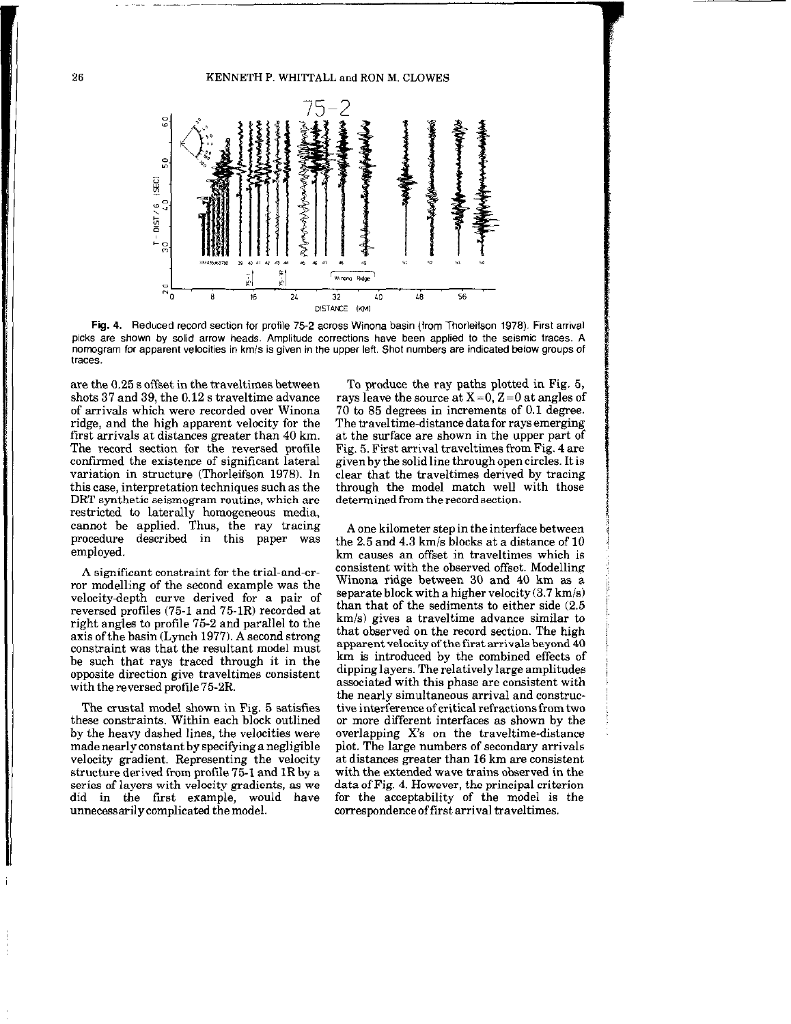26 KENNETH P. WHITTALL and RON M. CLOWES



Fig. 4. Reduced record section for profile 75-2 across Winona basin (from Thorleifson 1978). First arrival picks are shown by solid arrow heads. Amplitude corrections have been applied to the seismic traces. A nomogram for apparent velocities in km/s is given in the upper left. Shot numbers are indicated below groups of<br>traces.

are the 0.25 s offset in the traveltimes between shots 37 and 39. the 0.12 s traveltime advance of arrivals which were recorded over Winona ridge, and the high apparent velocity for the first arrivals at distances greater than 40 km. The record section for the reversed profile confirmed the existence of significant lateral variation in structure (Thorleifson 1978). In this case, interpretation techniques such as the DRT synthetic seismogram routine, which are restricted to laterally homogeneous media, cannot be applied. Thus, the ray tracing procedure described in this paper was employed.

A significant constraint for the trial-and-error modelling of the second example was the velocitydepth curve derived for a pair of reversed profiles (75-l and 75-1R) recorded at right angles to profile 75-2 and parallel to the axis ofthe basin (Lynch 1977). A second strong constraint was that the resultant model must be such that rays traced through it in the opposite direction give traveltimes consistent with the reversed profile 75-2R.

The crustal model shown in Fig. 5 satisfies these constraints. Within each block outlined by the heavy dashed lines, the velocities were made nearly constant by specifying a negligible velocity gradient. Representing the velocity structure derived from profile 75-1 and IR by a series of layers with velocity gradients, as we did in the first example, would have unnecessarily complicated themodel.

To produce the ray paths plotted in Fig. 5, rays leave the source at  $X=0$ ,  $Z=0$  at angles of 70 to 85 degrees in increments of 0.1 degree. The travel time-distance data for rays emerging at the surface are shown in the upper part of Fig. 5. First arrival traveltimes from Fig. 4 are givenby the solid line through open circles. It is clear that the traveltimes derived by tracing through the model match well with those determined from the record section.

A one kilometer step in the interface between the 2.5 and 4.3 km/s blocks at a distance of 10 km causes an offset in traveltimes which is consistent with the observed offset. Modelling Winona ridge between 30 and 40 km as a separate block with a higher velocity (3.7 km/s) than that of the sediments to either side (2.5 km/s) gives a traveltime advance similar to that observed on the record section. The high apparent velocity of the first arrivals beyond 40 km is introduced by the combined effects of dipping layers. The relatively large amplitudes associated with this phase are consistent with the nearly simultaneous arrival and constructive interference of critical refractions from two or more different interfaces as shown by the overlapping X's on the traveltime-distance plot. The large numbers of secondary arrivals at distances greater than 16 km are consistent with the extended wave trains observed in the data of Fig. 4. However, the principal criterion for the acceptability of the model is the correspondenceoffirst arrival traveltimes.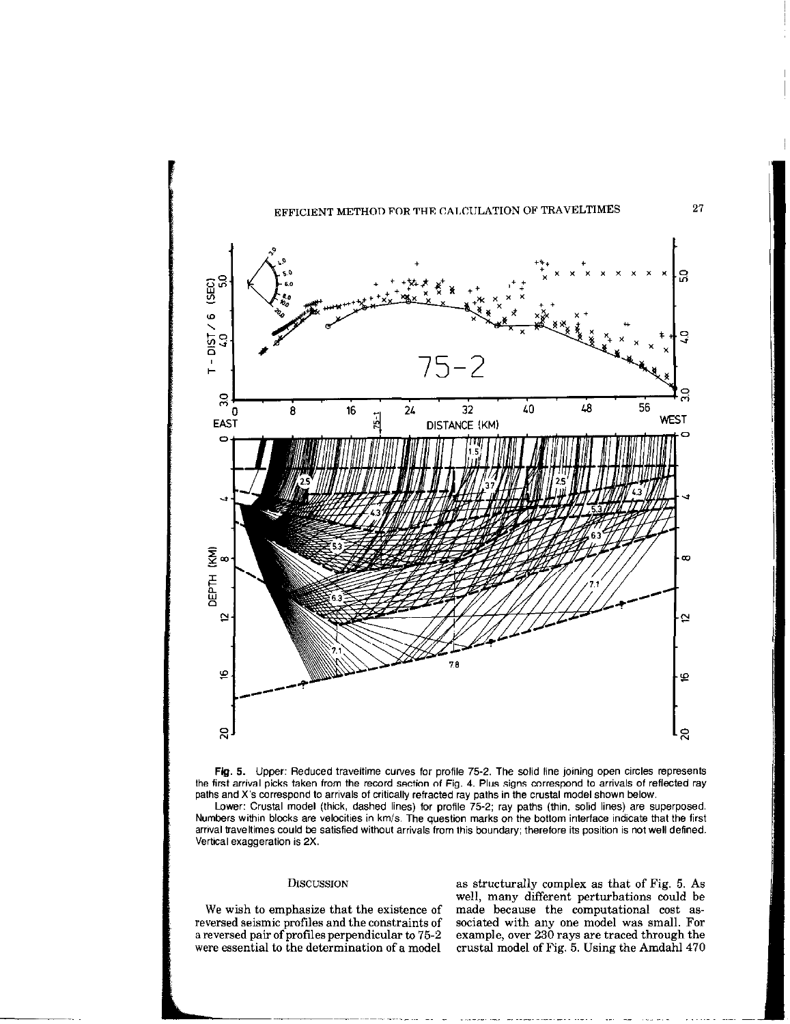



Lower: Crustal model (thick, dashed lines) for profile 75-2; ray paths (thin, solid lines) are superposed. Numbers within blocks are velocities in km/s. The question marks on the bottom interface indicate that the first arrival traveltimes could be satisfied without arrivals from this boundary; therefore its position is not well defined. Vertical exaggeration is 2X.

DISCUSSION as structurally complex as that of Fig. 5. As well, many different perturbations could be We wish to emphasize that the existence of made because the computational cost as-<br>reversed seismic profiles and the constraints of sociated with any one model was small. For reversed seismic profiles and the constraints of sociated with any one model was small. For<br>a reversed pair of profiles perpendicular to 75-2 example, over 230 rays are traced through the a reversed pair of profiles perpendicular to 75-2 example, over 230 rays are traced through the were essential to the determination of a model crustal model of Fig. 5. Using the Amdahl 470 crustal model of Fig. 5. Using the Amdahl 470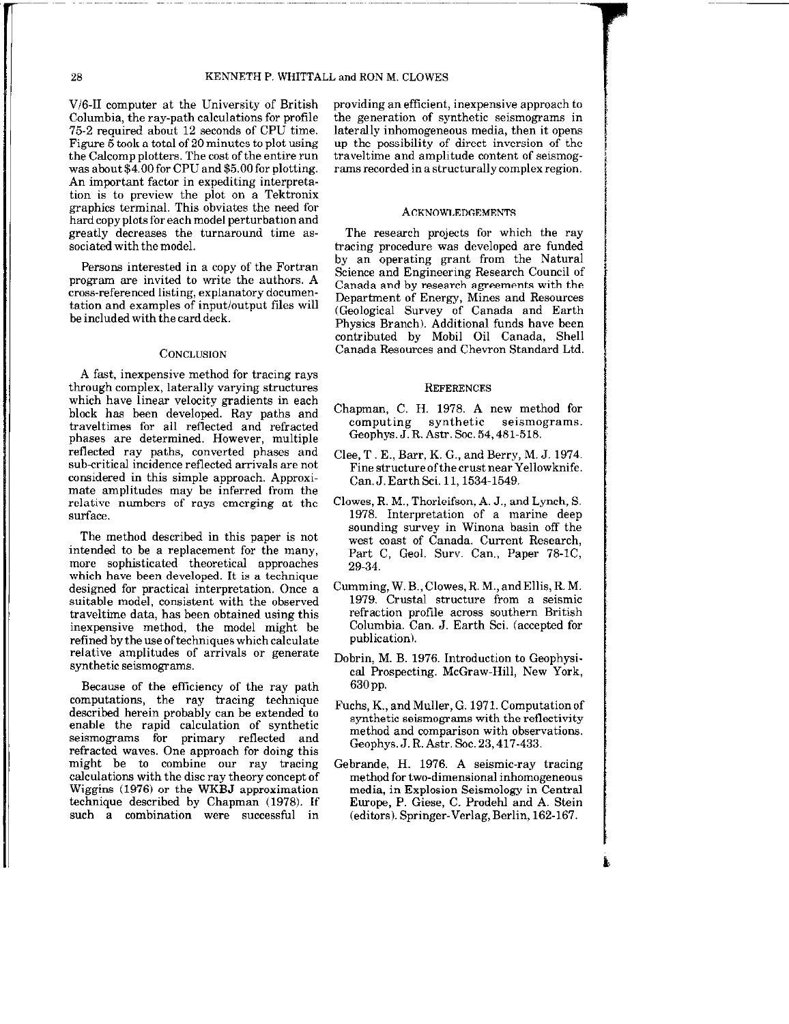V/G-II computer at the University of British Columbia, the ray-path calculations for profile 75-2 required about 12 seconds of CPU time. Figure  $\vec{5}$  took a total of 20 minutes to plot using the Calcomp plotters. The cost of the entire run was about \$4.00 for CPU and 55.00 for plotting. An important factor in expediting interpretation is to preview the plot on a Tektronix graphics terminal. This obviates the need for hard copy plots for each model perturbation and greatly decreases the turnaround time associated with the model.

Persons interested in a copy of the Fortran program are invited to write the authors. A cross-referenced listing, explanatory documentation and examples of input/output files will be included with the card deck.

#### CONCLUSION

A fast, inexpensive method for tracing rays through complex, laterally varying structures which have linear velocity gradients in each block has been developed. Ray paths and traveltimes for all reflected and refracted phases are determined. However, multiple reflected ray paths, converted phases and sub-critical incidence reflected arrivals are not considered in this simple approach. Approximate amplitudes may be inferred from the relative numbers of rays emerging at the surface.

The method described in this paper is not intended to be a replacement for the many, more sophisticated theoretical approaches which have been developed. It is a technique designed for practical interpretation. Once a suitable model, consistent with the observed traveltime data, has been obtained using this inexpensive method, the model might be refined by the use of techniques which calculate relative amplitudes of arrivals or generate synthetic seismograms.

Because of the efficiency of the ray path computations, the ray tracing technique described herein probably can be extended to enable the rapid calculation of synthetic seismograms for primary reflected and refracted waves. One approach for doing this might be to combine our ray tracing calculations with the disc ray theory concept of Wiggins (1976) or the WKBJ approximation technique described by Chapman (1978). If such a combination were successful in providing an efficient, inexpensive approach to the generation of synthetic seismograms in laterally inhomogeneous media, then it opens up the possibility of direct inversion of the traveltime and amplitude content of seismograms recorded in a structurally complex region.

### ACKNOWLEDGEMENTS

The research projects for which the ray tracing procedure was developed are funded by an operating grant from the Natural Science and Engineering Research Council of Canada and by research agreements with the Department of Energy, Mines and Resources (Geological Survey of Canada and Earth Physics Branch). Additional funds have been contributed by Mobil Oil Canada, Shell Canada Resources and Chevron Standard Ltd.

#### **REFERENCES**

- Chapman, C. H. 1978. A new method for computing synthetic seismograms. Geophys. J. R. Astr. Soc. 54, 481-518.
- Clee, T. E., Barr, K. G., and Berry, M. J. 1974. Fine structure of the crust near Yellowknife. Can. J. Earth Sci. 11, 1534-1549.
- Clowes, R. M., Thorleifson, A. J., and Lynch, S. 1978. Interpretation of a marine deep sounding survey in Winona basin off the west coast of Canada. Current Research, Part C, Geol. Surv. Can., Paper 78-1C, 29.34.
- Gumming, W. B.,Clowes,R. M.,andEllis, R. M. 1979. Crustal structure from a seismic refraction profile across southern British Columbia. Can. J. Earth Sci. (accepted for publication).
- Dobrin, M. B. 1976. Introduction to Geophysical Prospecting. McGraw-Hill, New York, 630 pp.
- Fuchs, K., and Muller, G. 1971. Computation of synthetic seismograms with the reflectivity method and comparison with observations. Geophys. J. R. Astr. Soc. 23, 417-433.
- Gebrande, H. 1976. A seismic-ray tracing method for two-dimensional inhomogeneous media, in Explosion Seismology in Central Europe, P. Giese, C. Prodehl and A. Stein (editors). Springer-Verlag, Berlin, 162-167.